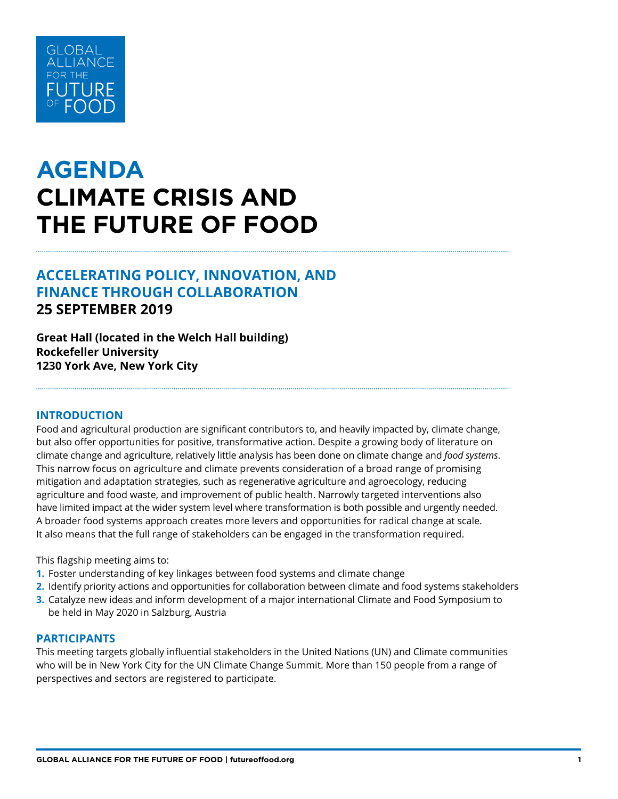

# **AGENDA CLIMATE CRISIS AND THE FUTURE OF FOOD**

# **ACCELERATING POLICY, INNOVATION, AND FINANCE THROUGH COLLABORATION 25 SEPTEMBER 2019**

# **Great Hall (located in the Welch Hall building) Rockefeller University 1230 York Ave, New York City**

#### **INTRODUCTION**

Food and agricultural production are significant contributors to, and heavily impacted by, climate change, but also offer opportunities for positive, transformative action. Despite a growing body of literature on climate change and agriculture, relatively little analysis has been done on climate change and *food systems*. This narrow focus on agriculture and climate prevents consideration of a broad range of promising mitigation and adaptation strategies, such as regenerative agriculture and agroecology, reducing agriculture and food waste, and improvement of public health. Narrowly targeted interventions also have limited impact at the wider system level where transformation is both possible and urgently needed. A broader food systems approach creates more levers and opportunities for radical change at scale. It also means that the full range of stakeholders can be engaged in the transformation required.

This flagship meeting aims to:

- **1.** Foster understanding of key linkages between food systems and climate change
- **2.** Identify priority actions and opportunities for collaboration between climate and food systems stakeholders
- **3.** Catalyze new ideas and inform development of a major international Climate and Food Symposium to be held in May 2020 in Salzburg, Austria

#### **PARTICIPANTS**

This meeting targets globally influential stakeholders in the United Nations (UN) and Climate communities who will be in New York City for the UN Climate Change Summit. More than 150 people from a range of perspectives and sectors are registered to participate.